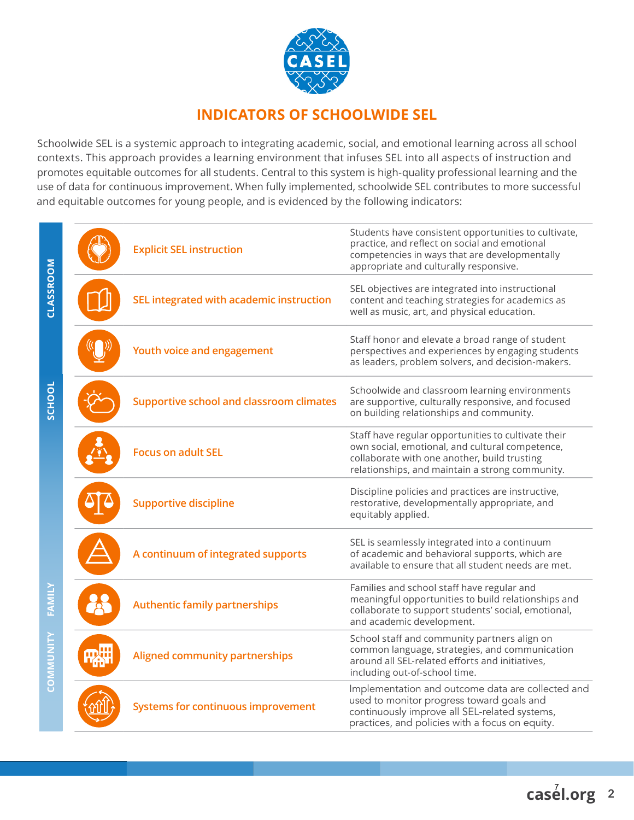

#### **INDICATORS OF SCHOOLWIDE SEL**

Schoolwide SEL is a systemic approach to integrating academic, social, and emotional learning across all school contexts. This approach provides a learning environment that infuses SEL into all aspects of instruction and promotes equitable outcomes for all students. Central to this system is high-quality professional learning and the use of data for continuous improvement. When fully implemented, schoolwide SEL contributes to more successful and equitable outcomes for young people, and is evidenced by the following indicators:

|           | <b>Explicit SEL instruction</b>                 | Students have consistent opportunities to cultivate,<br>practice, and reflect on social and emotional<br>competencies in ways that are developmentally<br>appropriate and culturally responsive.          |
|-----------|-------------------------------------------------|-----------------------------------------------------------------------------------------------------------------------------------------------------------------------------------------------------------|
| CLASSROOM | SEL integrated with academic instruction        | SEL objectives are integrated into instructional<br>content and teaching strategies for academics as<br>well as music, art, and physical education.                                                       |
|           | Youth voice and engagement                      | Staff honor and elevate a broad range of student<br>perspectives and experiences by engaging students<br>as leaders, problem solvers, and decision-makers.                                                |
| SCHOOL    | <b>Supportive school and classroom climates</b> | Schoolwide and classroom learning environments<br>are supportive, culturally responsive, and focused<br>on building relationships and community.                                                          |
|           | <b>Focus on adult SEL</b>                       | Staff have regular opportunities to cultivate their<br>own social, emotional, and cultural competence,<br>collaborate with one another, build trusting<br>relationships, and maintain a strong community. |
|           | <b>Supportive discipline</b>                    | Discipline policies and practices are instructive,<br>restorative, developmentally appropriate, and<br>equitably applied.                                                                                 |
|           | A continuum of integrated supports              | SEL is seamlessly integrated into a continuum<br>of academic and behavioral supports, which are<br>available to ensure that all student needs are met.                                                    |
|           | <b>Authentic family partnerships</b>            | Families and school staff have regular and<br>meaningful opportunities to build relationships and<br>collaborate to support students' social, emotional,<br>and academic development.                     |
|           | <b>Aligned community partnerships</b>           | School staff and community partners align on<br>common language, strategies, and communication<br>around all SEL-related efforts and initiatives,<br>including out-of-school time.                        |
| M<br>So   | <b>Systems for continuous improvement</b>       | Implementation and outcome data are collected and<br>used to monitor progress toward goals and<br>continuously improve all SEL-related systems,<br>practices, and policies with a focus on equity.        |

casel.org 2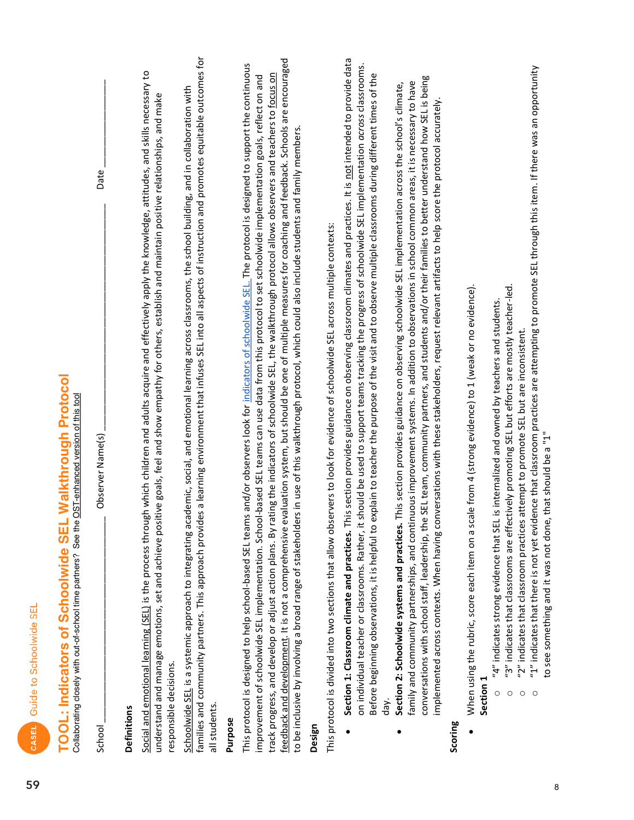| 딙 |  |
|---|--|
|   |  |
| I |  |
| p |  |
|   |  |

# **TOOL: Indicators of Schoolwide SEL Walkthrough Protocol**

Collaborating closely with out-of-school time partners? See the OST-enhanced version of this tool

Observer Name(s)

Date

#### Definitions

School

Social and emotional learning (SEL) is the process through which children and adults acquire and effectively apply the knowledge, attitudes, and skills necessary to understand and manage emotions, set and achieve positive goals, feel and show empathy for others, establish and maintain positive relationships, and make responsible decisions.

families and community partners. This approach provides a learning environment that infuses SEL into all aspects of instruction and promotes equitable outcomes for Schoolwide SEL is a systemic approach to integrating academic, social, and emotional learning across classrooms, the school building, and in collaboration with all students.

#### Purpose

feedback and development. It is not a comprehensive evaluation system, but should be one of multiple measures for coaching and feedback. Schools are encouraged This protocol is designed to help school-based SEL teams and/or observers look for indicators of schoolwide SEL. The protocol is designed to support the continuous track progress, and develop or adjust action plans. By rating the indicators of schoolwide SEL, the walkthrough protocol allows observers and teachers to focus on improvement of schoolwide SEL implementation. School-based SEL teams can use data from this protocol to set schoolwide implementation goals, reflect on and to be inclusive by involving a broad range of stakeholders in use of this walkthrough protocol, which could also include students and family members.

#### Design

This protocol is divided into two sections that allow observers to look for evidence of schoolwide SEL across multiple contexts:

- Section 1: Classroom climate and practices. This section provides guidance on observing classroom climates and practices. It is not intended to provide data on individual teacher or classrooms. Rather, it should be used to support teams tracking the progress of schoolwide SEL implementation across classrooms. Before beginning observations, it is helpful to explain to teacher the purpose of the visit and to observe multiple classrooms during different times of the day.
- conversations with school staff, leadership, the SEL team, community partners, and students and/or their families to better understand how SEL is being family and community partnerships, and continuous improvement systems. In addition to observations in school common areas, it is necessary to have Section 2: Schoolwide systems and practices. This section provides guidance on observing schoolwide SEL implementation across the school's climate, implemented across contexts. When having conversations with these stakeholders, request relevant artifacts to help score the protocol accurately.

#### Scoring

When using the rubric, score each item on a scale from 4 (strong evidence) to 1 (weak or no evidence).

#### Section 1

- "4" indicates strong evidence that SEL is internalized and owned by teachers and students.  $\circ$
- "3" indicates that classrooms are effectively promoting SEL but efforts are mostly teacher-led.  $\circ$
- "2" indicates that classroom practices attempt to promote SEL but are inconsistent.  $\circ$
- "1" indicates that there is not yet evidence that classroom practices are attempting to promote SEL through this item. If there was an opportunity to see something and it was not done, that should be a "1"  $\circ$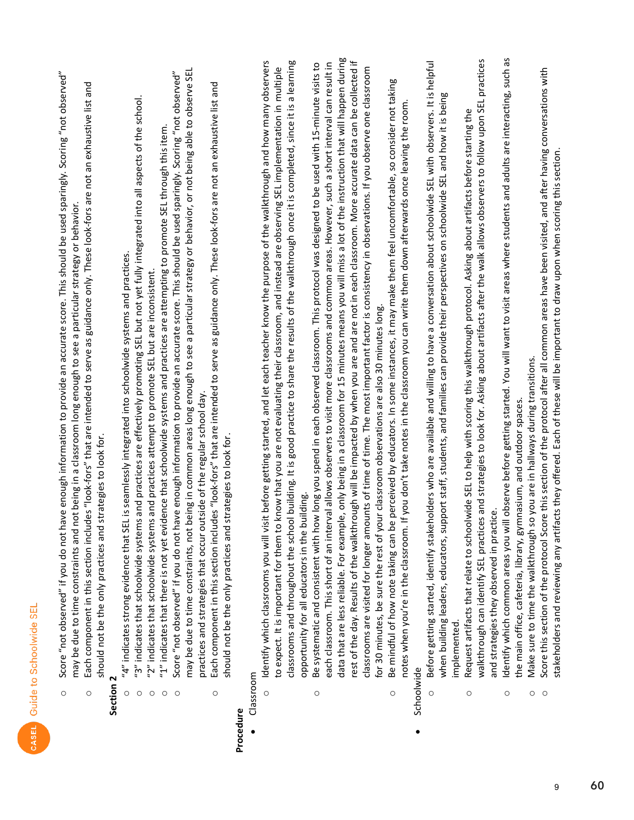- Score "not observed" if you do not have enough information to provide an accurate score. This should be used sparingly. Scoring "not observed" may be due to time constraints and not being in a classroom long enough to see a particular strategy or behavior.  $\circ$ 
	- Each component in this section includes "look-fors" that are intended to serve as guidance only. These look-fors are not an exhaustive list and should not be the only practices and strategies to look for.  $\circ$

#### Section

- "4" indicates strong evidence that SEL is seamlessly integrated into schoolwide systems and practices.  $\circ$
- "3" indicates that schoolwide systems and practices are effectively promoting SEL but not yet fully integrated into all aspects of the school.  $\circ$ 
	- "2" indicates that schoolwide systems and practices attempt to promote SEL but are inconsistent.  $\circ$
- "1" indicates that there is not yet evidence that schoolwide systems and practices are attempting to promote SEL through this item.  $\circ$
- may be due to time constraints, not being in common areas long enough to see a particular strategy or behavior, or not being able to observe SEL Score "not observed" if you do not have enough information to provide an accurate score. This should be used sparingly. Scoring "not observed" practices and strategies that occur outside of the regular school day.  $\circ$ 
	- Each component in this section includes "look-fors" that are intended to serve as guidance only. These look-fors are not an exhaustive list and should not be the only practices and strategies to look for.  $\circ$

#### Procedure

- Classroom
- classrooms and throughout the school building. It is good practice to share the results of the walkthrough once it is completed, since it is a learning Identify which classrooms you will visit before getting started, and let each teacher know the purpose of the walkthrough and how many observers to expect. It is important for them to know that you are not evaluating their classroom, and instead are observing SEL implementation in multiple opportunity for all educators in the building.  $\circ$
- data that are less reliable. For example, only being in a classroom for 15 minutes means you will miss a lot of the instruction that will happen during rest of the day. Results of the walkthrough will be impacted by when you are and are not in each classroom. More accurate data can be collected if each classroom. This short of an interval allows observers to visit more classrooms and common areas. However, such a short interval can result in Be systematic and consistent with how long you spend in each observed classroom. This protocol was designed to be used with 15-minute visits to classrooms are visited for longer amounts of time of time. The most important factor is consistency in observations. If you observe one classroom for 30 minutes, be sure the rest of your classroom observations are also 30 minutes long.  $\circ$ 
	- Be mindful of how note taking can be perceived by educators. In some instances, it may make them feel uncomfortable, so consider not taking notes when you're in the classroom. If you don't take notes in the classroom you can write them down afterwards once leaving the room.  $\circ$ 
		- Schoolwide
- Before getting started, identify stakeholders who are available and willing to have a conversation about schoolwide SEL with observers. It is helpful when building leaders, educators, support staff, students, and families can provide their perspectives on schoolwide SEL and how it is being implemented.  $\circ$
- walkthrough can identify SEL practices and strategies to look for. Asking about artifacts after the walk allows observers to follow upon SEL practices Request artifacts that relate to schoolwide SEL to help with scoring this walkthrough protocol. Asking about artifacts before starting the and strategies they observed in practice.  $\circ$
- Identify which common areas you will observe before getting started. You will want to visit areas where students and adults are interacting, such as the main office, cafeteria, library, gymnasium, and outdoor spaces.  $\circ$ 
	- Make sure to time the walkthrough so you are in hallways during transitions.  $\circ$
- Score this section of the protocol Score this section of the protocol after all common areas have been visited, and after having conversations with stakeholders and reviewing any artifacts they offered. Each of these will be important to draw upon when scoring this section.  $\circ$

9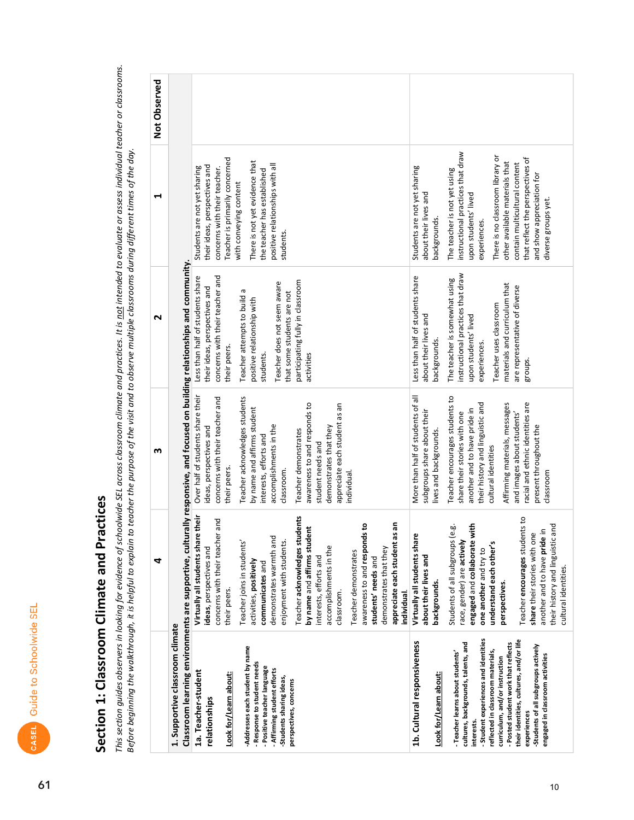## Section 1: Classroom Climate and Practices

This section guides observers in looking for evidence of schoolwide SEL across classroom climate and practices. It is <u>not</u> intended to evaluate or assess individual teacher or classrooms.<br>Before beginning the walkthrough,

|                                                                                                                                                                                                                                                                                                                                                                                                                                         | 4                                                                                                                                                                                                                                                                                                                                                                                                                                                                                                                                                       | m                                                                                                                                                                                                                                                                                                                                                                                                       | N                                                                                                                                                                                                                                                                                                                                    | ↤                                                                                                                                                                                                                                                                                                                                                                                 | Not Observed |
|-----------------------------------------------------------------------------------------------------------------------------------------------------------------------------------------------------------------------------------------------------------------------------------------------------------------------------------------------------------------------------------------------------------------------------------------|---------------------------------------------------------------------------------------------------------------------------------------------------------------------------------------------------------------------------------------------------------------------------------------------------------------------------------------------------------------------------------------------------------------------------------------------------------------------------------------------------------------------------------------------------------|---------------------------------------------------------------------------------------------------------------------------------------------------------------------------------------------------------------------------------------------------------------------------------------------------------------------------------------------------------------------------------------------------------|--------------------------------------------------------------------------------------------------------------------------------------------------------------------------------------------------------------------------------------------------------------------------------------------------------------------------------------|-----------------------------------------------------------------------------------------------------------------------------------------------------------------------------------------------------------------------------------------------------------------------------------------------------------------------------------------------------------------------------------|--------------|
| Classroom learning environments are supportive, cultur<br>1. Supportive classroom climate                                                                                                                                                                                                                                                                                                                                               |                                                                                                                                                                                                                                                                                                                                                                                                                                                                                                                                                         | rally responsive, and focused on building relationships and community                                                                                                                                                                                                                                                                                                                                   |                                                                                                                                                                                                                                                                                                                                      |                                                                                                                                                                                                                                                                                                                                                                                   |              |
| -Addresses each student by name<br>Response to student needs<br>- Positive teacher language<br>- Affirming student efforts<br>1a. Teacher-student<br>Look for/Learn about:<br>-Students sharing ideas,<br>perspectives, concerns<br>relationships                                                                                                                                                                                       | their<br>Teacher acknowledges students<br>and<br>an<br>awareness to and responds to<br>by name and affirms student<br>Virtually all students share<br>concerns with their teacher<br>appreciate each student as<br>demonstrates warmth and<br>enjoyment with students.<br>Teacher joins in students'<br>accomplishments in the<br>ideas, perspectives and<br>demonstrates that they<br>Teacher demonstrates<br>interests, efforts and<br>students' needs and<br>activities, positively<br>communicates and<br>their peers.<br>individual.<br>classroom. | Over half of students share their<br>Teacher acknowledges students<br>concerns with their teacher and<br>awareness to and responds to<br>appreciate each student as an<br>by name and affirms student<br>accomplishments in the<br>demonstrates that they<br>ideas, perspectives and<br>Teacher demonstrates<br>interests, efforts and<br>student needs and<br>their peers.<br>classroom.<br>ndividual. | concerns with their teacher and<br>Less than half of students share<br>participating fully in classroom<br>Teacher does not seem aware<br>their ideas, perspectives and<br>$\boldsymbol{\varpi}$<br>that some students are not<br>Teacher attempts to build<br>positive relationship with<br>their peers.<br>students.<br>activities | Teacher is primarily concerned<br>There is not yet evidence that<br>positive relationships with all<br>their ideas, perspectives and<br>Students are not yet sharing<br>concerns with their teacher.<br>the teacher has established<br>with conveying content<br>students.                                                                                                        |              |
| - Student experiences and identities<br>their identities, cultures, and/or life<br>1b. Cultural responsiveness<br>cultures, backgrounds, talents, and<br>- Posted student work that reflects<br>-Students of all subgroups actively<br>reflected in classroom materials,<br>- Teacher learns about students'<br>engaged in classroom activities<br>curriculum, and/or instruction<br>Look for/Learn about:<br>experiences<br>interests. | Teacher encourages students to<br>engaged and collaborate with<br>their history and linguistic and<br>Students of all subgroups (e.g.<br>$\overline{\mathbf{a}}$<br>share their stories with one<br>Virtually all students share<br>another and to have pride i<br>race, gender) are actively<br>understand each other's<br>one another and try to<br>about their lives and<br>cultural identities.<br>backgrounds.<br>perspectives.                                                                                                                    | More than half of students of all<br>Teacher encourages students to<br>racial and ethnic identities are<br>their history and linguistic and<br>Affirming materials, messages<br>another and to have pride in<br>subgroups share about their<br>share their stories with one<br>and images about students'<br>present throughout the<br>lives and backgrounds.<br>cultural identities<br>classroom       | instructional practices that draw<br>Less than half of students share<br>The teacher is somewhat using<br>materials and curriculum that<br>are representative of diverse<br>Teacher uses classroom<br>about their lives and<br>upon students' lived<br>backgrounds.<br>experiences.<br>groups                                        | instructional practices that draw<br>There is no classroom library or<br>that reflect the perspectives of<br>other available materials that<br>contain multicultural content<br>Students are not yet sharing<br>The teacher is not yet using<br>and show appreciation for<br>about their lives and<br>upon students' lived<br>diverse groups yet.<br>backgrounds.<br>experiences. |              |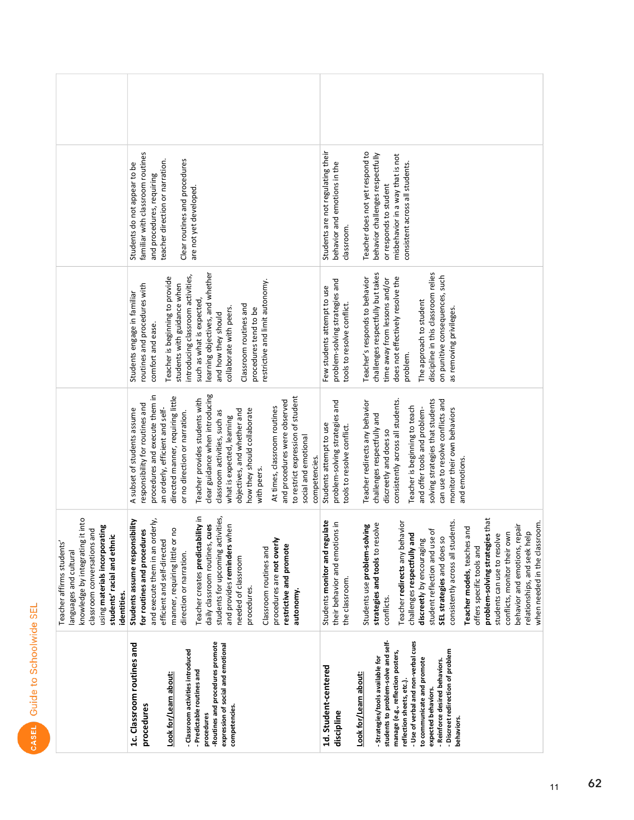| 띥<br>abiu<br>rη |  |
|-----------------|--|
| CASEL           |  |

| familiar with classroom routines<br>teacher direction or narration.<br>Clear routines and procedures<br>Students do not appear to be<br>and procedures, requiring<br>are not yet developed                                                                                                                                                                                                                                                                                                                                                                                                                                                                                               | Students are not regulating their<br>Teacher does not yet respond to<br>behavior challenges respectfully<br>misbehavior in a way that is not<br>behavior and emotions in the<br>consistent across all students.<br>or responds to student<br>classroom.                                                                                                                                                                                                                                                                                                                                                                                       |
|------------------------------------------------------------------------------------------------------------------------------------------------------------------------------------------------------------------------------------------------------------------------------------------------------------------------------------------------------------------------------------------------------------------------------------------------------------------------------------------------------------------------------------------------------------------------------------------------------------------------------------------------------------------------------------------|-----------------------------------------------------------------------------------------------------------------------------------------------------------------------------------------------------------------------------------------------------------------------------------------------------------------------------------------------------------------------------------------------------------------------------------------------------------------------------------------------------------------------------------------------------------------------------------------------------------------------------------------------|
| learning objectives, and whether<br>introducing classroom activities,<br>Teacher is beginning to provide<br>estrictive and limit autonomy.<br>routines and procedures with<br>students with guidance when<br>Students engage in familiar<br>such as what is expected<br>Classroom routines and<br>collaborate with peers.<br>procedures tend to be<br>and how they should<br>comfort and ease.                                                                                                                                                                                                                                                                                           | challenges respectfully but takes<br>discipline in this classroom relies<br>on punitive consequences, such<br>Teacher's responds to behavior<br>does not effectively resolve the<br>time away from lessons and/or<br>problem-solving strategies and<br>Few students attempt to use<br>The approach to student<br>tools to resolve conflict.<br>as removing privileges.<br>problem.                                                                                                                                                                                                                                                            |
| clear guidance when introducing<br>procedures and execute them in<br>directed manner, requiring little<br>to restrict expression of student<br>Teacher provides students with<br>and procedures were observed<br>responsibility for routines and<br>an orderly, efficient and self-<br>At times, classroom routines<br>A subset of students assume<br>how they should collaborate<br>objectives, and whether and<br>classroom activities, such as<br>or no direction or narration.<br>what is expected, learning<br>social and emotional<br>competencies.<br>with peers.                                                                                                                 | solving strategies that students<br>consistently across all students.<br>can use to resolve conflicts and<br>Teacher redirects any behavior<br>problem-solving strategies and<br>Teacher is beginning to teach<br>and offer tools and problem-<br>monitor their own behaviors<br>challenges respectfully and<br>Students attempt to use<br>tools to resolve conflict.<br>discreetly and does so<br>and emotions.                                                                                                                                                                                                                              |
| Teacher creates predictability in<br>students for upcoming activities,<br>it into<br>and execute them in an orderly,<br>Students assume responsibility<br>cues<br>and provides reminders when<br>using materials incorporating<br>classroom conversations and<br>manner, requiring little or no<br>for routines and procedures<br>students' racial and ethnic<br>knowledge by integrating<br>efficient and self-directed<br>Teacher affirms students'<br>daily classroom routines,<br>procedures are not over<br>restrictive and promote<br>Classroom routines and<br>languages and cultural<br>direction or narration.<br>needed of classroom<br>procedures.<br>autonomy<br>identities. | es that<br>Teacher redirects any behavior<br>consistently across all students.<br>gulate<br>when needed in the classroom.<br>their behavior and emotions in<br>strategies and tools to resolve<br>behavior and emotions, repair<br>Students use problem-solving<br>Teacher models, teaches and<br>student reflection and use of<br>relationships, and seek help<br>conflicts, monitor their own<br>students can use to resolve<br>challenges respectfully and<br>SEL strategies and does so<br>discreetly by encouraging<br>Students monitor and reg<br>problem-solving strategi<br>offers specific tools and<br>the classroom.<br>conflicts. |
| -Routines and procedures promote<br>1c. Classroom routines and<br>expression of social and emotional<br>- Classroom activities introduced<br>- Predictable routines and<br>Look for/Learn about:<br>procedures<br>competencies<br>procedures                                                                                                                                                                                                                                                                                                                                                                                                                                             | students to problem-solve and self-<br>- Use of verbal and non-verbal cues<br>- Discreet redirection of problem<br>manage (e.g., reflection posters,<br>- Strategies/tools available for<br>to communicate and promote<br>- Reinforce desired behaviors.<br>1d. Student-centered<br>Look for/Learn about:<br>reflection sheets, etc.).<br>expected behaviors.<br>discipline<br>behaviors                                                                                                                                                                                                                                                      |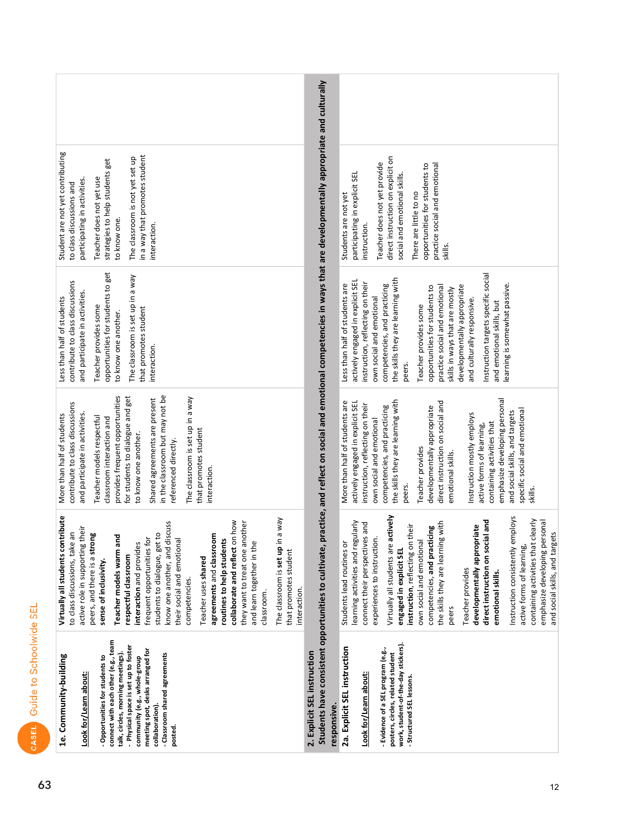| Student are not yet contributing<br>in a way that promotes student<br>The classroom is not yet set up<br>strategies to help students get<br>Teacher does not yet use<br>participating in activities<br>to class discussions and<br>to know one.<br>interaction.                                                                                                                                                                                                                                                                                                                                                                                                                   | practice, and reflect on social and emotional competencies in ways that are developmentally appropriate and culturally<br>direct instruction on explicit on<br>Teacher does not yet provide<br>practice social and emotional<br>opportunities for students to<br>participating in explicit SEL<br>social and emotional skills.<br>There are little to no<br>Students are not yet<br>instruction.<br>skills.                                                                                                                                                                                                                              |
|-----------------------------------------------------------------------------------------------------------------------------------------------------------------------------------------------------------------------------------------------------------------------------------------------------------------------------------------------------------------------------------------------------------------------------------------------------------------------------------------------------------------------------------------------------------------------------------------------------------------------------------------------------------------------------------|------------------------------------------------------------------------------------------------------------------------------------------------------------------------------------------------------------------------------------------------------------------------------------------------------------------------------------------------------------------------------------------------------------------------------------------------------------------------------------------------------------------------------------------------------------------------------------------------------------------------------------------|
| opportunities for students to get<br>The classroom is set up in a way<br>contribute to class discussions<br>and participate in activities.<br>Less than half of students<br>Teacher provides some<br>that promotes student<br>to know one another.<br>interaction.                                                                                                                                                                                                                                                                                                                                                                                                                | Instruction targets specific social<br>the skills they are learning with<br>actively engaged in explicit SE<br>instruction, reflecting on their<br>Less than half of students are<br>earning is somewhat passive.<br>competencies, and practicing<br>developmentally appropriate<br>opportunities for students to<br>practice social and emotional<br>skills in ways that are mostly<br>own social and emotional<br>and culturally responsive.<br>and emotional skills, but<br>Teacher provides some<br>peers.                                                                                                                           |
| in the classroom but may not be<br>provides frequent opportunities<br>The classroom is set up in a way<br>for students to dialogue and get<br>Shared agreements are present<br>contribute to class discussions<br>and participate in activities.<br>More than half of students<br>Teacher models respectful<br>classroom interaction and<br>that promotes student<br>to know one another.<br>referenced directly.<br>interaction.                                                                                                                                                                                                                                                 | emphasize developing personal<br>the skills they are learning with<br>actively engaged in explicit SEL<br>direct instruction on social and<br>More than half of students are<br>instruction, reflecting on their<br>competencies, and practicing<br>developmentally appropriate<br>specific social and emotional<br>and social skills, and targets<br>Instruction mostly employs<br>own social and emotional<br>containing activities that<br>active forms of learning,<br>Teacher provides<br>emotional skills.<br>peers.<br>skills.                                                                                                    |
| Virtually all students contribute<br>a way<br>collaborate and reflect on how<br>know one another, and discuss<br>they want to treat one another<br>active role in supporting their<br>Πg<br>students to dialogue, get to<br>peers, and there is a strong<br>agreements and classroom<br>ᅙ<br>their social and emotional<br>frequent opportunities for<br>Teacher models warm an<br>routines to help students<br>and learn together in the<br>The classroom is set up in<br>interaction and provides<br>to class discussions, take<br>that promotes student<br>respectful classroom<br>Teacher uses shared<br>sense of inclusivity.<br>competencies.<br>interaction.<br>classroom. | Virtually all students are actively<br>Instruction consistently employs<br>clearly<br>direct instruction on social and<br>emphasize developing personal<br>learning activities and regularly<br>the skills they are learning with<br>connect their perspectives and<br>instruction, reflecting on their<br>developmentally appropriate<br>competencies, and practicing<br>and social skills, and targets<br>experiences to instruction.<br>Students lead routines or<br>own social and emotional<br>containing activities that<br>active forms of learning,<br>engaged in explicit SEL<br>Teacher provides<br>emotional skills.<br>peers |
| connect with each other (e.g., team<br>- Physical space is set up to foster<br>meeting spot, desks arranged for<br>talk, circles, morning meetings).<br>- Classroom shared agreements<br>1e. Community-building<br>- Opportunities for students to<br>community (e.g., whole-group<br>Look for/Learn about:<br>collaboration).<br>posted.                                                                                                                                                                                                                                                                                                                                         | Students have consistent opportunities to cultivate,<br>work, student-of-the-day stickers).<br>2a. Explicit SEL instruction<br>- Evidence of a SEL program (e.g.,<br>2. Explicit SEL instruction<br>posters, circles, related student<br>Look for/Learn about:<br>- Structured SEL lessons.<br>responsive.                                                                                                                                                                                                                                                                                                                               |

CASEL

Guide to Schoolwide SEL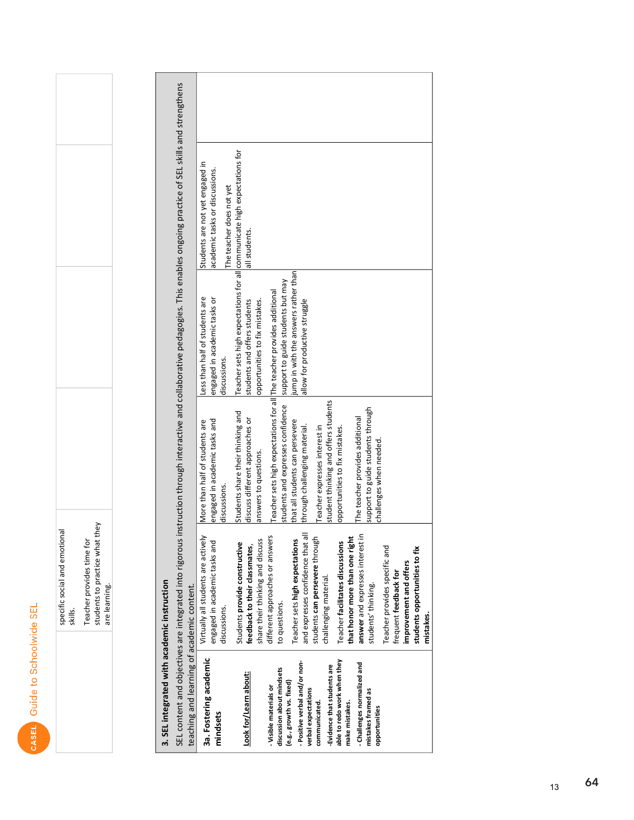| specific social and emotion<br>skills. | students to practice what<br>Teacher provides time fo<br>are learning. |
|----------------------------------------|------------------------------------------------------------------------|
|                                        |                                                                        |

**3. SEL integrated with academic instruction**<br>SEL content and objectives are integrated into rigorous instruction through interactive and collaborative pedagogies. This enables ongoing practice of SEL skills and strengthen

| teaching and learning of academic content. |                                     |                                                                        |                                                                          |                                 |  |
|--------------------------------------------|-------------------------------------|------------------------------------------------------------------------|--------------------------------------------------------------------------|---------------------------------|--|
| 3a. Fostering academic                     | Virtually all students are actively | More than half of students are                                         | ess than half of students are                                            | Students are not yet engaged in |  |
| mindsets                                   | engaged in academic tasks and       | engaged in academic tasks and                                          | engaged in academic tasks or                                             | academic tasks or discussions.  |  |
|                                            | discussions.                        | discussions.                                                           | discussions.                                                             | The teacher does not yet        |  |
|                                            | Students provide constructive       | Students share their thinking and                                      | Teacher sets high expectations for all communicate high expectations for |                                 |  |
| Look for/Learn about:                      | feedback to their classmates,       | discuss different approaches or                                        | students and offers students                                             | all students.                   |  |
|                                            | share their thinking and discuss    | answers to questions.                                                  | opportunities to fix mistakes.                                           |                                 |  |
| - Visible materials or                     | different approaches or answers     | Teacher sets high expectations for all The teacher provides additional |                                                                          |                                 |  |
| discussion about mindsets                  | to questions.                       | students and expresses confidence                                      | support to guide students but may                                        |                                 |  |
| (e.g., growth vs. fixed)                   | Teacher sets high expectations      | that all students can persevere                                        | ump in with the answers rather than                                      |                                 |  |
| - Positive verbal and/or non-              | 등<br>and expresses confidence that  | through challenging material.                                          | allow for productive struggle                                            |                                 |  |
| verbal expectations                        |                                     |                                                                        |                                                                          |                                 |  |
| communicated.                              | students can persevere through      | eacher expresses interest in                                           |                                                                          |                                 |  |
| -Evidence that students are                | challenging material.               | student thinking and offers students                                   |                                                                          |                                 |  |
| able to redo work when they                | Teacher facilitates discussions     | opportunities to fix mistakes.                                         |                                                                          |                                 |  |
| make mistakes.                             | that honor more than one right      |                                                                        |                                                                          |                                 |  |
| - Challenges normalized and                | answer and expresses interest in    | The teacher provides additional                                        |                                                                          |                                 |  |
| mistakes framed as                         | students' thinking.                 | support to guide students through                                      |                                                                          |                                 |  |
| opportunities                              |                                     | challenges when needed.                                                |                                                                          |                                 |  |
|                                            | Teacher provides specific and       |                                                                        |                                                                          |                                 |  |
|                                            | frequent feedback for               |                                                                        |                                                                          |                                 |  |
|                                            | improvement and offers              |                                                                        |                                                                          |                                 |  |
|                                            | students opportunities to fix       |                                                                        |                                                                          |                                 |  |
|                                            | mistakes.                           |                                                                        |                                                                          |                                 |  |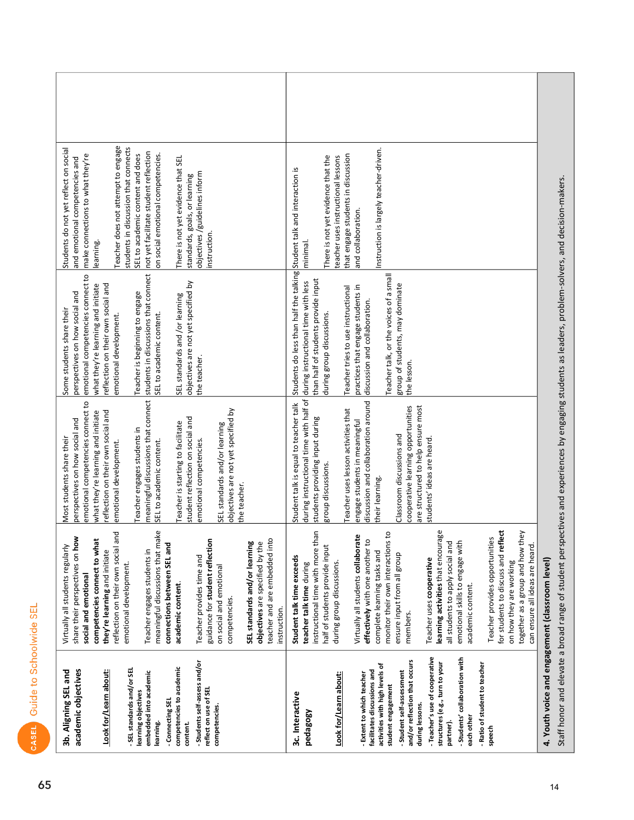| 닚<br>ċ       |  |
|--------------|--|
| ŏ<br>í       |  |
| 画<br>5g<br>ı |  |

| academic objectives<br>3b. Aligning SEL and                                                                                   | share their perspectives on how<br>Virtually all students regularly<br>social and emotional                                                                                | emotional competencies connect to<br>perspectives on how social and<br>Most students share their                                                                             | emotional competencies connect to<br>perspectives on how social and<br>Some students share their             | Students do not yet reflect on social<br>make connections to what they're<br>and emotional competencies and    |  |
|-------------------------------------------------------------------------------------------------------------------------------|----------------------------------------------------------------------------------------------------------------------------------------------------------------------------|------------------------------------------------------------------------------------------------------------------------------------------------------------------------------|--------------------------------------------------------------------------------------------------------------|----------------------------------------------------------------------------------------------------------------|--|
| Look for/Learn about:                                                                                                         | ರ<br>reflection on their own social an<br>competencies connect to what<br>they're learning and initiate<br>emotional development.                                          | reflection on their own social and<br>what they're learning and initiate<br>emotional development.                                                                           | what they're learning and initiate<br>reflection on their own social and<br>emotional development.           | Teacher does not attempt to engage<br>students in discussion that connects<br>earning.                         |  |
| - SEL standards and/or SEL<br>embedded into academic<br>learning objectives<br>learning.                                      | â<br>meaningful discussions that mal<br>connections between SEL and<br>Teacher engages students in                                                                         | meaningful discussions that connect<br>Teacher engages students in<br>SEL to academic content.                                                                               | students in discussions that connect<br>Teacher is beginning to engage<br>SEL to academic content.           | not yet facilitate student reflection<br>on social emotional competencies.<br>SEL to academic content and does |  |
| - Students self-assess and/or<br>competencies to academic<br>- Connecting SEL<br>content.                                     | Teacher provides time and<br>academic content.                                                                                                                             | student reflection on social and<br>Teacher is starting to facilitate<br>emotional competencies.                                                                             | objectives are not yet specified by<br>SEL standards and /or learning<br>the teacher.                        | There is not yet evidence that SEL<br>objectives /guidelines inform<br>standards, goals, or learning           |  |
| reflect on use of SEL<br>competencies.                                                                                        | guidance for student reflection<br>on social and emotional<br>competencies.                                                                                                | objectives are not yet specified by<br>SEL standards and/or learning<br>the teacher.                                                                                         |                                                                                                              | instruction.                                                                                                   |  |
|                                                                                                                               | teacher and are embedded into<br>objectives are specified by the<br>SEL standards and/or learning<br>instruction.                                                          |                                                                                                                                                                              |                                                                                                              |                                                                                                                |  |
| 3c. Interactive<br>heqa8o8A                                                                                                   | instructional time with more than<br>half of students provide input<br>Student talk time exceeds<br>teacher talk time during                                               | during instructional time with half of during instructional time with less<br>Student talk is equal to teacher talk<br>students providing input during<br>group discussions. | Students do less than half the talking<br>than half of students provide input<br>during group discussions.   | There is not yet evidence that the<br>Student talk and interaction is<br>minimal.                              |  |
| Look for/Learn about:                                                                                                         | during group discussions.                                                                                                                                                  | Teacher uses lesson activities that                                                                                                                                          | Teacher tries to use instructional                                                                           | that engage students in discussion<br>teacher uses instructional lessons                                       |  |
| activities with high levels of<br>facilitates discussions and<br>- Extent to which teacher<br>student engagement              | o<br>Virtually all students collaborate<br>monitor their own interactions t<br>effectively with one another to<br>complete learning tasks and                              | discussion and collaboration around<br>engage students in meaningful<br>their learning.                                                                                      | Teacher talk, or the voices of a small<br>practices that engage students in<br>discussion and collaboration. | Instruction is largely teacher-driven.<br>and collaboration.                                                   |  |
| and/or reflection that occurs<br>- Student self-assessment<br>during lessons.                                                 | ensure input from all group<br>members.                                                                                                                                    | cooperative learning opportunities<br>are structured to help ensure most<br>Classroom discussions and                                                                        | group of students, may dominate<br>the lesson.                                                               |                                                                                                                |  |
| - Teacher's use of cooperative<br>- Students' collaboration with<br>structures (e.g., turn to your<br>each other<br>partner). | learning activities that encourage<br>emotional skills to engage with<br>all students to apply social and<br>Teacher uses cooperative<br>academic content.                 | students' ideas are heard.                                                                                                                                                   |                                                                                                              |                                                                                                                |  |
| - Ratio of student to teacher<br>speech                                                                                       | ಕ<br>together as a group and how they<br>Teacher provides opportunities<br>for students to discuss and refle<br>can ensure all ideas are heard.<br>on how they are working |                                                                                                                                                                              |                                                                                                              |                                                                                                                |  |
| 4. Youth voice and engagement (classroom level)                                                                               |                                                                                                                                                                            | Staff honor and elevate a broad range of student perspectives and experiences by engaging students as leaders, problem-solvers, and decision-makers.                         |                                                                                                              |                                                                                                                |  |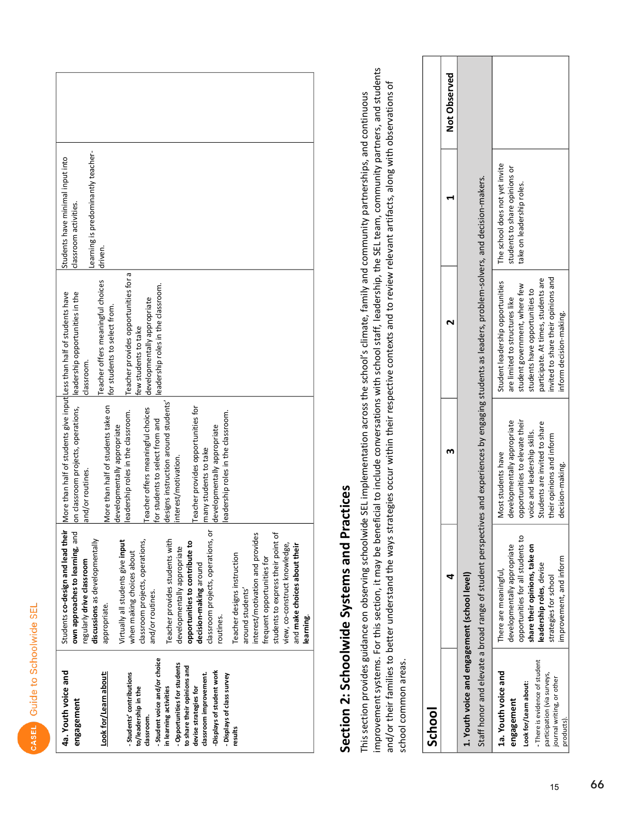| ļ<br>Ċ<br>I              |  |
|--------------------------|--|
| ١<br>G                   |  |
| ׇ֚֬<br>֘֒<br>١<br>ť<br>١ |  |
| ٦<br>C                   |  |
| l<br>j<br>İ<br>ı         |  |
| Ĭ<br>ľ                   |  |

| 4a. Youth voice and<br>engagement                                              | Students co-design and lead their<br>own approaches to learning, and<br>regularly drive classroom | More than half of students give input Less than half of students have<br>on classroom projects, operations,<br>and/or routines. | leadership opportunities in the<br>classroom.                     | Students have minimal input into<br>classroom activities. |  |
|--------------------------------------------------------------------------------|---------------------------------------------------------------------------------------------------|---------------------------------------------------------------------------------------------------------------------------------|-------------------------------------------------------------------|-----------------------------------------------------------|--|
| Look for/Learn about:                                                          | discussions as developmentally<br>appropriate.                                                    | More than half of students take on                                                                                              | Teacher offers meaningful choices<br>for students to select from. | earning is predominantly teacher-<br>driven.              |  |
| -Students' contributions                                                       | Virtually all students give input<br>when making choices about                                    | eadership roles in the classroom.<br>developmentally appropriate                                                                | Teacher provides opportunities for a<br>few students to take      |                                                           |  |
| - Student voice and/or choice<br>to/leadership in the<br>dassroom.             | classroom projects, operations,<br>and/or routines.                                               | Teacher offers meaningful choices<br>for students to select from and                                                            | eadership roles in the classroom.<br>developmentally appropriate  |                                                           |  |
| - Opportunities for students<br>in learning activities                         | Teacher provides students with<br>developmentally appropriate                                     | designs instruction around students'<br>interest/motivation.                                                                    |                                                                   |                                                           |  |
| to share their opinions and<br>classroom improvement.<br>devise strategies for | ă<br>opportunities to contribute to<br>decision-making around                                     | Teacher provides opportunities for<br>many students to take                                                                     |                                                                   |                                                           |  |
| Displays of student work<br>- Displays of class survey                         | classroom projects, operations,<br>routines.                                                      | eadership roles in the classroom.<br>developmentally appropriate                                                                |                                                                   |                                                           |  |
| results                                                                        | Teacher designs instruction<br>around students'                                                   |                                                                                                                                 |                                                                   |                                                           |  |
|                                                                                | interest/motivation and provides<br>frequent opportunities for                                    |                                                                                                                                 |                                                                   |                                                           |  |
|                                                                                | students to express their point of<br>view, co-construct knowledge,                               |                                                                                                                                 |                                                                   |                                                           |  |
|                                                                                | and make choices about their<br>learning.                                                         |                                                                                                                                 |                                                                   |                                                           |  |
|                                                                                |                                                                                                   |                                                                                                                                 |                                                                   |                                                           |  |

## Section 2: Schoolwide Systems and Practices

improvement systems. For this section, it may be beneficial to include conversations with school staff, leadership, the SEL team, community partners, and students and/or their families to better understand the ways strategies occur within their respective contexts and to review relevant artifacts, along with observations of This section provides guidance on observing schoolwide SEL implementation across the school's climate, family and community partnerships, and continuous school common areas.

| School                                                                                                                                                                 |                                                                                                                                                                                                            |                                                                                                                                                                                                       |                                                                                                                                                                                                                                                |                                                                                              |              |
|------------------------------------------------------------------------------------------------------------------------------------------------------------------------|------------------------------------------------------------------------------------------------------------------------------------------------------------------------------------------------------------|-------------------------------------------------------------------------------------------------------------------------------------------------------------------------------------------------------|------------------------------------------------------------------------------------------------------------------------------------------------------------------------------------------------------------------------------------------------|----------------------------------------------------------------------------------------------|--------------|
|                                                                                                                                                                        |                                                                                                                                                                                                            |                                                                                                                                                                                                       |                                                                                                                                                                                                                                                |                                                                                              | Not Observed |
| 1. Youth voice and engagement (school level)                                                                                                                           |                                                                                                                                                                                                            |                                                                                                                                                                                                       |                                                                                                                                                                                                                                                |                                                                                              |              |
|                                                                                                                                                                        |                                                                                                                                                                                                            |                                                                                                                                                                                                       | Staff honor and elevate a broad range of student perspectives and experiences by engaging students as leaders, problem-solvers, and decision-makers.                                                                                           |                                                                                              |              |
| - There is evidence of student<br>1a. Youth voice and<br>participation (via surveys,<br>journal writing, or other<br>Look for/Learn about:<br>engagement<br>products). | opportunities for all students to<br>developmentally appropriate<br>share their opinions, take on<br>improvement, and inform<br>leadership roles, devise<br>There are meaningful,<br>strategies for school | opportunities to elevate their<br>developmentally appropriate<br>Students are invited to share<br>voice and leadership skills.<br>their opinions and inform<br>Most students have<br>decision-making. | invited to share their opinions and<br>participate. At times, students are<br>Student leadership opportunities<br>student government, where few<br>students have opportunities to<br>are limited to structures like<br>inform decision-making. | The school does not yet invite<br>students to share opinions or<br>take on leadership roles. |              |

15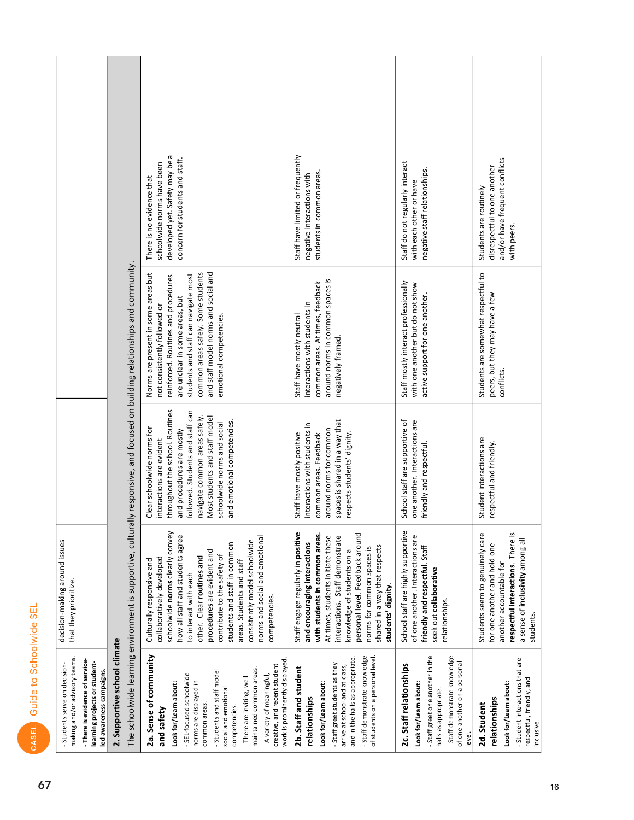| l<br>I<br>۱<br>Ċ |  |
|------------------|--|
| ۱                |  |
| ۱<br>ť           |  |
| o<br>I<br>١<br>1 |  |
| ſ<br>j<br>٠      |  |

| making and/or advisory teams.<br>-Students serve on decision-                                | decision-making around issues<br>that they prioritize. |
|----------------------------------------------------------------------------------------------|--------------------------------------------------------|
| - There is evidence of service-<br>learning projects or student-<br>led awareness campaigns. |                                                        |
| 2. Supportive school climate                                                                 |                                                        |

|                                                       |                                                                                                                                | developed yet. Safety may be a<br>concern for students and staff.<br>schoolwide norms have been<br>There is no evidence that                                                                                                                                                                                                                                                                      | Staff have limited or frequently<br>students in common areas.<br>negative interactions with                                                                                                                                                                                                                                        | Staff do not regularly interact<br>negative staff relationships.<br>with each other or have                                                                                             | and/or have frequent conflicts<br>disrespectful to one another<br>Students are routinely<br>with peers.                                                                          |
|-------------------------------------------------------|--------------------------------------------------------------------------------------------------------------------------------|---------------------------------------------------------------------------------------------------------------------------------------------------------------------------------------------------------------------------------------------------------------------------------------------------------------------------------------------------------------------------------------------------|------------------------------------------------------------------------------------------------------------------------------------------------------------------------------------------------------------------------------------------------------------------------------------------------------------------------------------|-----------------------------------------------------------------------------------------------------------------------------------------------------------------------------------------|----------------------------------------------------------------------------------------------------------------------------------------------------------------------------------|
|                                                       | The schoolwide learning environment is supportive, culturally responsive, and focused on building relationships and community. | and staff model norms and social and<br>common areas safely. Some students<br>Norms are present in some areas but<br>students and staff can navigate most<br>reinforced. Routines and procedures<br>are unclear in some areas, but<br>not consistently followed or<br>emotional competencies.                                                                                                     | around norms in common spaces is<br>common areas. At times, feedback<br>interactions with students in<br>Staff have mostly neutral<br>negatively framed.                                                                                                                                                                           | Staff mostly interact professionally<br>with one another but do not show<br>active support for one another.                                                                             | Students are somewhat respectful to<br>peers, but they may have a few<br>conflicts.                                                                                              |
|                                                       |                                                                                                                                | throughout the school. Routines<br>followed. Students and staff can<br>navigate common areas safely.<br>Most students and staff model<br>and emotional competencies.<br>schoolwide norms and social<br>Clear schoolwide norms for<br>and procedures are mostly<br>interactions are evident                                                                                                        | spaces is shared in a way that<br>interactions with students in<br>around norms for common<br>respects students' dignity.<br>Staff have mostly positive<br>common areas. Feedback                                                                                                                                                  | School staff are supportive of<br>one another. Interactions are<br>friendly and respectful.                                                                                             | Student interactions are<br>respectful and friendly.                                                                                                                             |
|                                                       |                                                                                                                                | schoolwide norms clearly convey<br>how all staff and students agree<br>norms and social and emotional<br>consistently model schoolwide<br>students and staff in common<br>procedures are evident and<br>contribute to the safety of<br>other. Clear routines and<br>collaboratively developed<br>areas. Students and staff<br>Culturally responsive and<br>to interact with each<br>competencies. | Staff engage regularly in positive<br>with students in common areas.<br>personal level. Feedback around<br>At times, students initiate these<br>interactions. Staff demonstrate<br>and encouraging interactions<br>shared in a way that respects<br>norms for common spaces is<br>knowledge of students on a<br>students' dignity. | School staff are highly supportive<br>of one another. Interactions are<br>friendly and respectful. Staff<br>seek out collaborative<br>relationships.                                    | respectful interactions. There is<br>Students seem to genuinely care<br>a sense of inclusivity among all<br>for one another and hold one<br>another accountable for<br>students. |
| aiiiiig projecta oi stuue<br>led awareness campaigns. | 2. Supportive school climate                                                                                                   | 2a. Sense of community<br>work is prominently displayed<br>creative, and recent student<br>maintained common areas.<br>- Students and staff model<br>- SEL-focused schoolwide<br>- There are inviting, well-<br>- A variety of meaningful,<br>norms are displayed in<br>Look for/Learn about:<br>social and emotional<br>common areas.<br>competencies.<br>and safety                             | - Staff demonstrate knowledge<br>of students on a personal level.<br>and in the halls as appropriate.<br>- Staff greet students as they<br>arrive at school and at class,<br>2b. Staff and student<br>Look for/Learn about:<br>relationships                                                                                       | -Staff greet one another in the<br>- Staff demonstrate knowledge<br>of one another on a personal<br>2c. Staff relationships<br>Look for/Learn about:<br>halls as appropriate.<br>level. | - Student interactions that are<br>respectful, friendly, and<br>Look for/Learn about:<br>relationships<br>2d. Student<br>inclusive.                                              |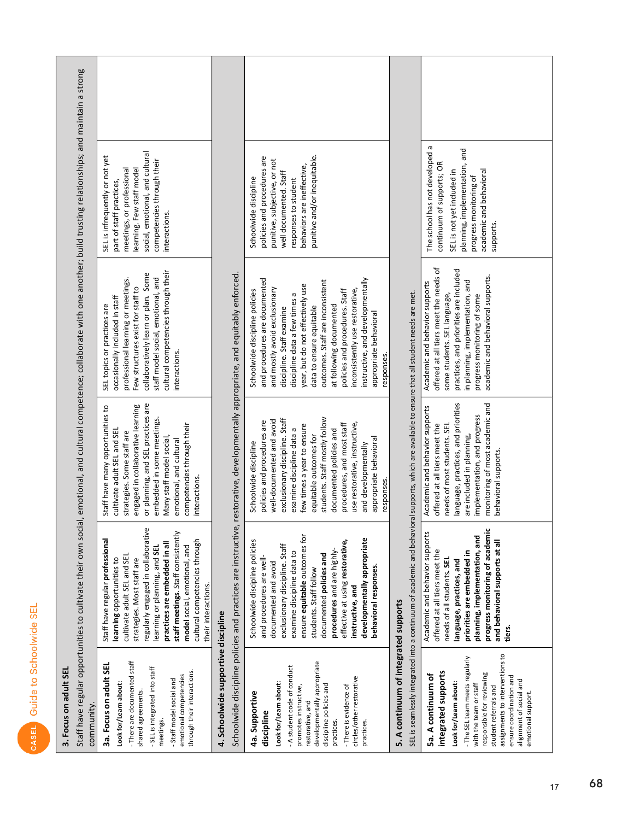| ۱<br>ŕ                                                       |  |
|--------------------------------------------------------------|--|
| I<br>ľ<br>ī                                                  |  |
| <b>Service Service</b><br><b>Service Service</b><br>ׇ֚֬<br>١ |  |
| C<br>١<br>י<br>C<br>I<br>J<br>I                              |  |
| i<br>ĺ<br>١                                                  |  |
| Ī<br>I                                                       |  |

| นี |
|----|
|    |
|    |
| 큻  |
| ă  |
| ទ  |
|    |
| ឌ  |
|    |
|    |
| г  |
|    |
|    |
| ന് |

Staff have regular opportunities to cultivate their own social, emotional, and cultural competence; collaborate with one another; build trusting relationships; and maintain a strong

| community.                                            |                                    |                                    |                                     |                                 |  |
|-------------------------------------------------------|------------------------------------|------------------------------------|-------------------------------------|---------------------------------|--|
| 3a. Focus on adult SEL                                | Staff have regular professional    | Staff have many opportunities to   | SEL topics or practices are         | SEL is infrequently or not yet  |  |
| Look for/Learn about:                                 | learning opportunities to          | cultivate adult SEL and SEL        | occasionally included in staff      | part of staff practices,        |  |
|                                                       | ultivate adult SEL and SEL         | strategies. Some staff are         | professional learning or meetings.  | meetings, or professional       |  |
| - There are documented staff<br>shared agreements.    | strategies. Most staff are         | engaged in collaborative learning  | Few structures exist for staff to   | learning. Few staff model       |  |
|                                                       | egularly engaged in collaborative  | or planning, and SEL practices are | collaboratively learn or plan. Some | social, emotional, and cultural |  |
| - SEL is integrated into staff<br>meetings.           | learning or planning, and SEL      | embedded in some meetings.         | staff model social, emotional, and  | competencies through their      |  |
|                                                       | practices are embedded in all      | Many staff model social,           | cultural competencies through their | interactions.                   |  |
| - Staff model social and                              | staff meetings. Staff consistently | emotional, and cultural            | interactions.                       |                                 |  |
| through their interactions.<br>emotional competencies | model social, emotional, and       | competencies through their         |                                     |                                 |  |
|                                                       | cultural competencies through      | interactions.                      |                                     |                                 |  |

## 4. Schoolwide supportive discipline

their interactions.

 $\frac{1}{2}$ j نحنناحم Schoolwide discipline

|                                                                                                                                                                                                                                                                                | opposition product and process are instructive, rescuest the process of the product of the content of a politically appropriate, and equivalent term of the                                                                                                                                                                                                                          |                                                                                                                                                                                                                                                                                                                                                                                            |                                                                                                                                                                                                                                                                                                                                                                                                                                               |                                                                                                                                                                                                      |  |
|--------------------------------------------------------------------------------------------------------------------------------------------------------------------------------------------------------------------------------------------------------------------------------|--------------------------------------------------------------------------------------------------------------------------------------------------------------------------------------------------------------------------------------------------------------------------------------------------------------------------------------------------------------------------------------|--------------------------------------------------------------------------------------------------------------------------------------------------------------------------------------------------------------------------------------------------------------------------------------------------------------------------------------------------------------------------------------------|-----------------------------------------------------------------------------------------------------------------------------------------------------------------------------------------------------------------------------------------------------------------------------------------------------------------------------------------------------------------------------------------------------------------------------------------------|------------------------------------------------------------------------------------------------------------------------------------------------------------------------------------------------------|--|
| developmentally appropriate<br>- A student code of conduct<br>circles/other restorative<br>Look for/Learn about:<br>discipline policies and<br>promotes instructive,<br>- There is evidence of<br>4a. Supportive<br>restorative, and<br>discipline<br>practices.<br>practices. | ensure equitable outcomes for<br>developmentally appropriate<br>Schoolwide discipline policies<br>effective at using restorative,<br>exclusionary discipline. Staff<br>procedures and are highly-<br>examine discipline data to<br>documented policies and<br>and procedures are well-<br>documented and avoid<br>behavioral responses<br>students. Staff follow<br>instructive, and | tudents. Staff mostly follow<br>exclusionary discipline. Staff<br>well-documented and avoid<br>olicies and procedures are<br>se restorative, instructive,<br>rocedures, and most staff<br>few times a year to ensure<br>xamine discipline data a<br>ocumented policies and<br>equitable outcomes for<br>ppropriate behavioral<br>Schoolwide discipline<br>nd developmentally<br>responses. | and procedures are documented<br>instructive, and developmentally<br>outcomes. Staff are inconsistent<br>year, but do not effectively use<br>and mostly avoid exclusionary<br>inconsistently use restorative,<br>Schoolwide discipline policies<br>policies and procedures. Staff<br>discipline data a few times a<br>at following documented<br>data to ensure equitable<br>discipline. Staff examine<br>appropriate behavioral<br>esponses. | punitive and/or inequitable.<br>policies and procedures are<br>punitive, subjective, or not<br>behaviors are ineffective,<br>well documented. Staff<br>Schoolwide discipline<br>responses to student |  |
| 5. A continuum of integrated supports                                                                                                                                                                                                                                          | SEL is seamlessly integrated into a continuum of academic and behavioral supports, which are available to ensure that all student needs are met.                                                                                                                                                                                                                                     |                                                                                                                                                                                                                                                                                                                                                                                            |                                                                                                                                                                                                                                                                                                                                                                                                                                               |                                                                                                                                                                                                      |  |
| assignments to interventions to<br>- The SEL team meets regularly<br>integrated supports<br>responsible for reviewing<br>5a. A continuum of<br>ensure coordination and<br>alignment of social and<br>Look for/Learn about:<br>with the team or staff<br>student referrals and  | progress monitoring of academic<br>Academic and behavior supports<br>planning, implementation, and<br>and behavioral supports at all<br>offered at all tiers meet the<br>priorities are embedded in<br>needs of all students. SEL<br>language, practices, and<br>tiers.                                                                                                              | language, practices, and priorities<br>monitoring of most academic and<br>Academic and behavior supports<br>implementation, and progress<br>offered at all tiers meet the<br>needs of most students. SEL<br>are included in planning,<br>behavioral supports.                                                                                                                              | offered at all tiers meet the needs of<br>practices, and priorities are included<br>academic and behavioral supports.<br>in planning, implementation, and<br>Academic and behavior supports<br>some students. SEL language,<br>progress monitoring of some                                                                                                                                                                                    | The school has not developed a<br>planning, implementation, and<br>continuum of supports; OR<br>academic and behavioral<br>SEL is not yet included in<br>progress monitoring of<br>supports.         |  |

## $\overline{5}$ .

| SEL is seamlessly integrated into a continuum of academic and behavioral supports, which are available to ensure that all student needs are met.<br>progress monitoring of academic<br>Academic and behavior supports<br>planning, implementation, and<br>and behavioral supports at all<br>offered at all tiers meet the<br>priorities are embedded in<br>needs of all students. SEL<br>language, practices, and<br>iers.<br>assignments to interventions to<br>The SEL team meets regularly<br>integrated supports<br>responsible for reviewing<br>5a. A continuum of<br>ensure coordination and<br>alignment of social and<br>Look for/Learn about:<br>with the team or staff<br>student referrals and<br>emotional support. | Academic and behavior supports   Academic and behavior supports<br>monitoring of most academic and<br>language, practices, and priorities<br>implementation, and progress<br>needs of most students. SEL<br>offered at all tiers meet the<br>are included in planning,<br>behavioral supports. | offered at all tiers meet the needs of<br>practices, and priorities are included<br>academic and behavioral supports.<br>in planning, implementation, and<br>some students. SEL language,<br>progress monitoring of some | The school has not developed a<br>planning, implementation, and<br>continuum of supports; OR<br>SEL is not yet included in<br>academic and behavioral<br>progress monitoring of<br>supports. |  |
|---------------------------------------------------------------------------------------------------------------------------------------------------------------------------------------------------------------------------------------------------------------------------------------------------------------------------------------------------------------------------------------------------------------------------------------------------------------------------------------------------------------------------------------------------------------------------------------------------------------------------------------------------------------------------------------------------------------------------------|------------------------------------------------------------------------------------------------------------------------------------------------------------------------------------------------------------------------------------------------------------------------------------------------|--------------------------------------------------------------------------------------------------------------------------------------------------------------------------------------------------------------------------|----------------------------------------------------------------------------------------------------------------------------------------------------------------------------------------------|--|
|---------------------------------------------------------------------------------------------------------------------------------------------------------------------------------------------------------------------------------------------------------------------------------------------------------------------------------------------------------------------------------------------------------------------------------------------------------------------------------------------------------------------------------------------------------------------------------------------------------------------------------------------------------------------------------------------------------------------------------|------------------------------------------------------------------------------------------------------------------------------------------------------------------------------------------------------------------------------------------------------------------------------------------------|--------------------------------------------------------------------------------------------------------------------------------------------------------------------------------------------------------------------------|----------------------------------------------------------------------------------------------------------------------------------------------------------------------------------------------|--|

 $17$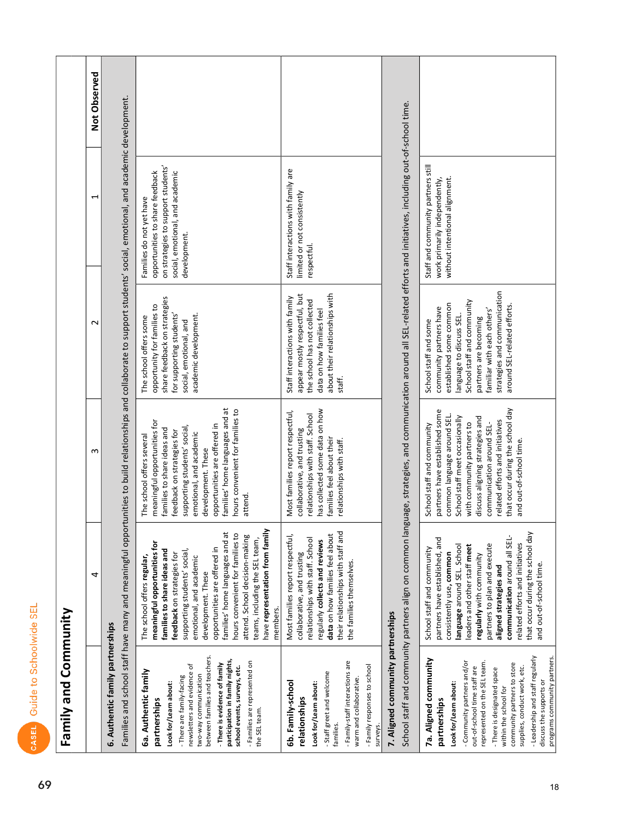|                               |                      | 2 | Families and school staff have many and meaningful opportunities to build relationships and collaborate to support students' social, emotional, and academic developn | on strategies to support students'<br>opportunities to share feedback<br>social, emotional, and academic<br>Families do not yet have<br>development.                                                                                                                                                                                                                                                                    | Staff interactions with family are<br>limited or not consistently |
|-------------------------------|----------------------|---|-----------------------------------------------------------------------------------------------------------------------------------------------------------------------|-------------------------------------------------------------------------------------------------------------------------------------------------------------------------------------------------------------------------------------------------------------------------------------------------------------------------------------------------------------------------------------------------------------------------|-------------------------------------------------------------------|
|                               |                      |   |                                                                                                                                                                       | share feedback on strategies<br>opportunity for families to<br>academic development.<br>for supporting students'<br>The school offers some<br>social, emotional, and                                                                                                                                                                                                                                                    | appear mostly respectful, but<br>Staff interactions with family   |
|                               |                      | m |                                                                                                                                                                       | families' home languages and at<br>hours convenient for families to<br>meaningful opportunities for<br>opportunities are offered in<br>supporting students' social,<br>families to share ideas and<br>feedback on strategies for<br>emotional, and academic<br>The school offers several<br>development. These<br>attend.<br>on from family                                                                             | Most families report respectful,<br>collaborative, and trusting   |
| CASEL Guide to Schoolwide SEL | Family and Community | 4 |                                                                                                                                                                       | families' home languages and at<br>hours convenient for families to<br>attend. School decision-making<br>teams, including the SEL team,<br>meaningful opportunities for<br>opportunities are offered in<br>ideas and<br>supporting students' social,<br>feedback on strategies for<br>The school offers regular,<br>emotional, and academic<br>development. These<br>families to share<br>have representati<br>members. | Most families report respectful,<br>collaborative, and trusting   |
|                               |                      |   | 6. Authentic family partnerships                                                                                                                                      | between families and teachers.<br>participation in family nights,<br>- Families are represented on<br>- There is evidence of family<br>newsletters and evidence of<br>school events, surveys, etc.<br><b>6a. Authentic family</b><br>two-way communication<br>- There are family-facing<br>Look for/Learn about:<br>partnerships<br>the SEL team.                                                                       | 6b. Family-school<br>relationships                                |

Observed

nent.

### 7. Aligned community partnerships

School staff and community partners align on common language, strategies, and communication around all SEL-related efforts and initiatives, including out-of-school time.

respectful.

about their relationships with the school has not collected

staff.

data on how families feel

has collected some data on how

families feel about their relationships with staff.

their relationships with staff and

the families themselves.

- Family-staff interactions are

warm and collaborative.

- Staff greet and welcome

families.

Look for/Learn about:

- Family responses to school

surveys.

data on how families feel about

regularly collects and reviews

relationships with staff. School

relationships with staff. School

#### 7a. Aligned community Look for/Learn about: partnerships

- Community partners and/or represented on the SEL team. out-of-school time staff are - There is designated space

- Leadership and staff regularly community partners to store supplies, conduct work, etc. discuss the supports or within the school for

that occur during the school day communication around all SELpartners have established, and partners to plan and execute<br>aligned strategies and related efforts and initiatives language around SEL. School leaders and other staff meet School staff and community regularly with community consistently use, common and out-of-school time.

School staff and some partners have established some that occur during the school day common language around SEL School staff meet occasionally discuss aligning strategies and related efforts and initiatives with community partners to communication around SEL-School staff and community and out-of-school time.

Staff and community partners still work primarily independently, without intentional alignment. strategies and communication School staff and community established some common around SEL-related efforts. community partners have familiar with each others' language to discuss SEL. partners are becoming

programs community partners.